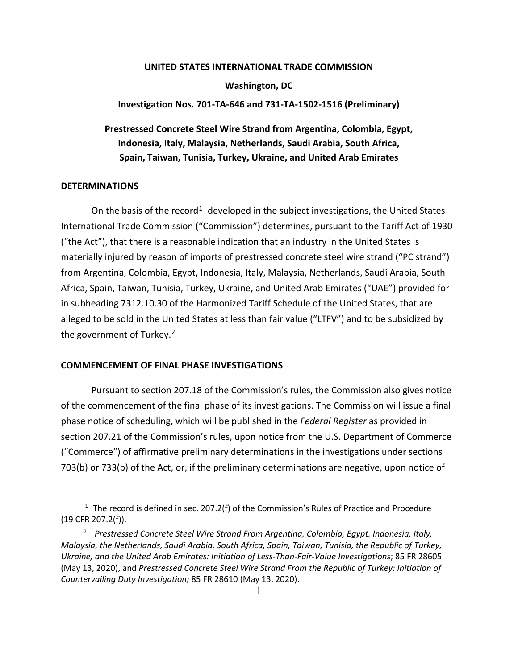### **UNITED STATES INTERNATIONAL TRADE COMMISSION**

## **Washington, DC**

### **Investigation Nos. 701-TA-646 and 731-TA-1502-1516 (Preliminary)**

**Prestressed Concrete Steel Wire Strand from Argentina, Colombia, Egypt, Indonesia, Italy, Malaysia, Netherlands, Saudi Arabia, South Africa, Spain, Taiwan, Tunisia, Turkey, Ukraine, and United Arab Emirates**

# **DETERMINATIONS**

On the basis of the record<sup>[1](#page-0-0)</sup> developed in the subject investigations, the United States International Trade Commission ("Commission") determines, pursuant to the Tariff Act of 1930 ("the Act"), that there is a reasonable indication that an industry in the United States is materially injured by reason of imports of prestressed concrete steel wire strand ("PC strand") from Argentina, Colombia, Egypt, Indonesia, Italy, Malaysia, Netherlands, Saudi Arabia, South Africa, Spain, Taiwan, Tunisia, Turkey, Ukraine, and United Arab Emirates ("UAE") provided for in subheading 7312.10.30 of the Harmonized Tariff Schedule of the United States, that are alleged to be sold in the United States at less than fair value ("LTFV") and to be subsidized by the government of Turkey.<sup>[2](#page-0-1)</sup>

### **COMMENCEMENT OF FINAL PHASE INVESTIGATIONS**

Pursuant to section 207.18 of the Commission's rules, the Commission also gives notice of the commencement of the final phase of its investigations. The Commission will issue a final phase notice of scheduling, which will be published in the *Federal Register* as provided in section 207.21 of the Commission's rules, upon notice from the U.S. Department of Commerce ("Commerce") of affirmative preliminary determinations in the investigations under sections 703(b) or 733(b) of the Act, or, if the preliminary determinations are negative, upon notice of

<span id="page-0-0"></span> $1$  The record is defined in sec. 207.2(f) of the Commission's Rules of Practice and Procedure (19 CFR 207.2(f)).

<span id="page-0-1"></span><sup>2</sup> *Prestressed Concrete Steel Wire Strand From Argentina, Colombia, Egypt, Indonesia, Italy, Malaysia, the Netherlands, Saudi Arabia, South Africa, Spain, Taiwan, Tunisia, the Republic of Turkey, Ukraine, and the United Arab Emirates: Initiation of Less-Than-Fair-Value Investigations*; 85 FR 28605 (May 13, 2020), and *Prestressed Concrete Steel Wire Strand From the Republic of Turkey: Initiation of Countervailing Duty Investigation;* 85 FR 28610 (May 13, 2020).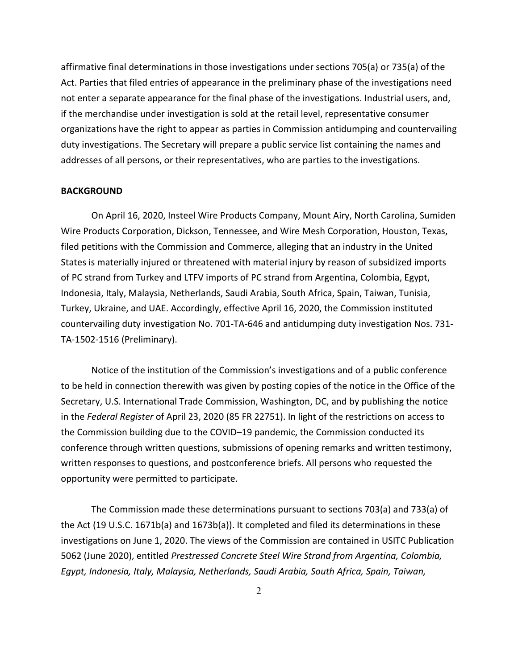affirmative final determinations in those investigations under sections 705(a) or 735(a) of the Act. Parties that filed entries of appearance in the preliminary phase of the investigations need not enter a separate appearance for the final phase of the investigations. Industrial users, and, if the merchandise under investigation is sold at the retail level, representative consumer organizations have the right to appear as parties in Commission antidumping and countervailing duty investigations. The Secretary will prepare a public service list containing the names and addresses of all persons, or their representatives, who are parties to the investigations.

# **BACKGROUND**

On April 16, 2020, Insteel Wire Products Company, Mount Airy, North Carolina, Sumiden Wire Products Corporation, Dickson, Tennessee, and Wire Mesh Corporation, Houston, Texas, filed petitions with the Commission and Commerce, alleging that an industry in the United States is materially injured or threatened with material injury by reason of subsidized imports of PC strand from Turkey and LTFV imports of PC strand from Argentina, Colombia, Egypt, Indonesia, Italy, Malaysia, Netherlands, Saudi Arabia, South Africa, Spain, Taiwan, Tunisia, Turkey, Ukraine, and UAE. Accordingly, effective April 16, 2020, the Commission instituted countervailing duty investigation No. 701-TA-646 and antidumping duty investigation Nos. 731- TA-1502-1516 (Preliminary).

Notice of the institution of the Commission's investigations and of a public conference to be held in connection therewith was given by posting copies of the notice in the Office of the Secretary, U.S. International Trade Commission, Washington, DC, and by publishing the notice in the *Federal Register* of April 23, 2020 (85 FR 22751). In light of the restrictions on access to the Commission building due to the COVID–19 pandemic, the Commission conducted its conference through written questions, submissions of opening remarks and written testimony, written responses to questions, and postconference briefs. All persons who requested the opportunity were permitted to participate.

The Commission made these determinations pursuant to sections 703(a) and 733(a) of the Act (19 U.S.C. 1671b(a) and 1673b(a)). It completed and filed its determinations in these investigations on June 1, 2020. The views of the Commission are contained in USITC Publication 5062 (June 2020), entitled *Prestressed Concrete Steel Wire Strand from Argentina, Colombia, Egypt, Indonesia, Italy, Malaysia, Netherlands, Saudi Arabia, South Africa, Spain, Taiwan,*